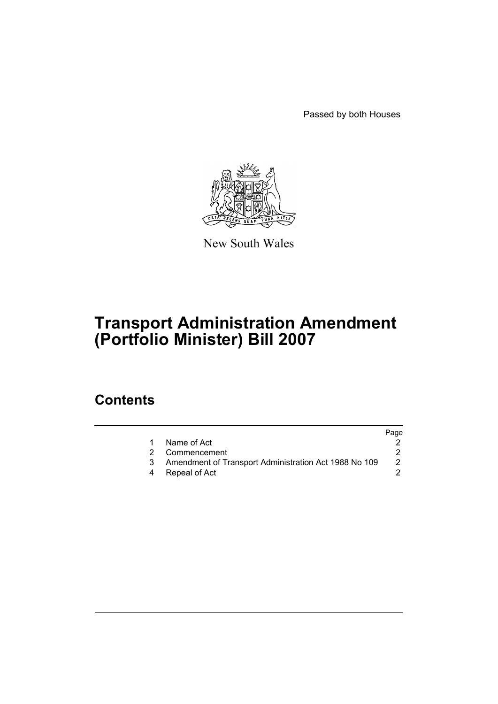Passed by both Houses



New South Wales

# **Transport Administration Amendment (Portfolio Minister) Bill 2007**

### **Contents**

|  |                                                       | Page |
|--|-------------------------------------------------------|------|
|  | Name of Act                                           |      |
|  | Commencement                                          |      |
|  | Amendment of Transport Administration Act 1988 No 109 | 2    |
|  | Repeal of Act                                         |      |
|  |                                                       |      |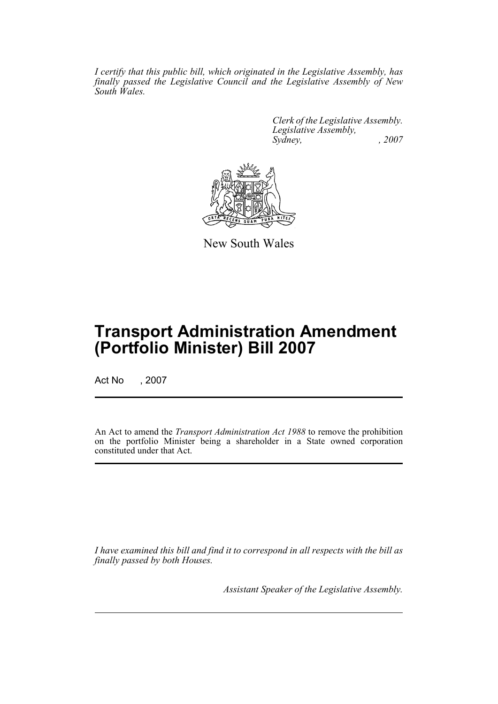*I certify that this public bill, which originated in the Legislative Assembly, has finally passed the Legislative Council and the Legislative Assembly of New South Wales.*

> *Clerk of the Legislative Assembly. Legislative Assembly, Sydney, , 2007*



New South Wales

## **Transport Administration Amendment (Portfolio Minister) Bill 2007**

Act No , 2007

An Act to amend the *Transport Administration Act 1988* to remove the prohibition on the portfolio Minister being a shareholder in a State owned corporation constituted under that Act.

*I have examined this bill and find it to correspond in all respects with the bill as finally passed by both Houses.*

*Assistant Speaker of the Legislative Assembly.*